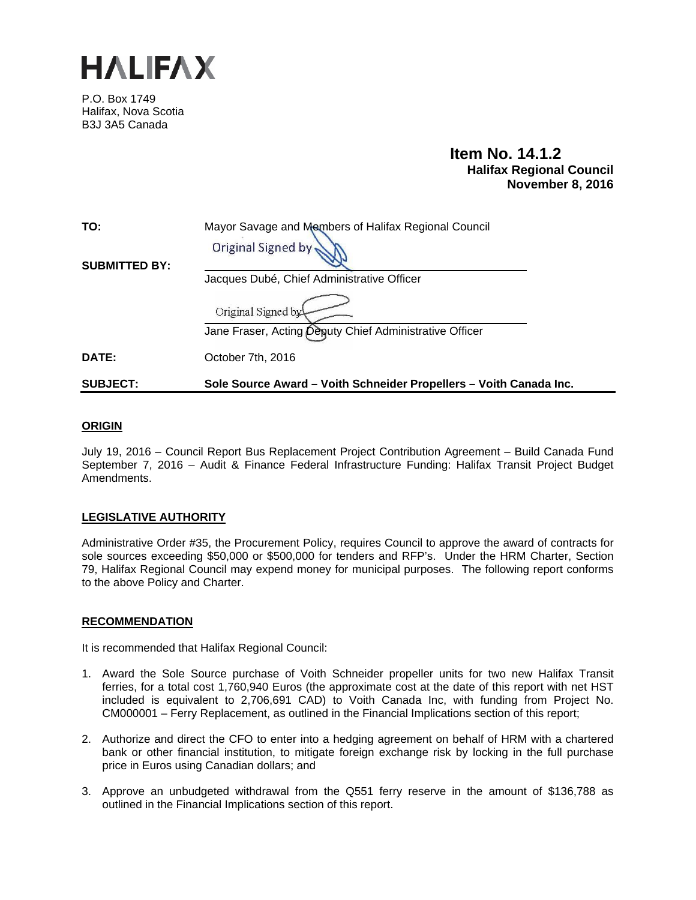

P.O. Box 1749 Halifax, Nova Scotia B3J 3A5 Canada

# **Item No. 14.1.2 Halifax Regional Council November 8, 2016**

| TO:                  | Mayor Savage and Members of Halifax Regional Council               |
|----------------------|--------------------------------------------------------------------|
|                      | Original Signed by                                                 |
| <b>SUBMITTED BY:</b> |                                                                    |
|                      | Jacques Dubé, Chief Administrative Officer                         |
|                      | Original Signed by                                                 |
|                      | Jane Fraser, Acting Deputy Chief Administrative Officer            |
| DATE:                | October 7th, 2016                                                  |
| <b>SUBJECT:</b>      | Sole Source Award – Voith Schneider Propellers – Voith Canada Inc. |

## **ORIGIN**

July 19, 2016 – Council Report Bus Replacement Project Contribution Agreement – Build Canada Fund September 7, 2016 – Audit & Finance Federal Infrastructure Funding: Halifax Transit Project Budget Amendments.

# **LEGISLATIVE AUTHORITY**

Administrative Order #35, the Procurement Policy, requires Council to approve the award of contracts for sole sources exceeding \$50,000 or \$500,000 for tenders and RFP's. Under the HRM Charter, Section 79, Halifax Regional Council may expend money for municipal purposes. The following report conforms to the above Policy and Charter.

## **RECOMMENDATION**

It is recommended that Halifax Regional Council:

- 1. Award the Sole Source purchase of Voith Schneider propeller units for two new Halifax Transit ferries, for a total cost 1,760,940 Euros (the approximate cost at the date of this report with net HST included is equivalent to 2,706,691 CAD) to Voith Canada Inc, with funding from Project No. CM000001 – Ferry Replacement, as outlined in the Financial Implications section of this report;
- 2. Authorize and direct the CFO to enter into a hedging agreement on behalf of HRM with a chartered bank or other financial institution, to mitigate foreign exchange risk by locking in the full purchase price in Euros using Canadian dollars; and
- 3. Approve an unbudgeted withdrawal from the Q551 ferry reserve in the amount of \$136,788 as outlined in the Financial Implications section of this report.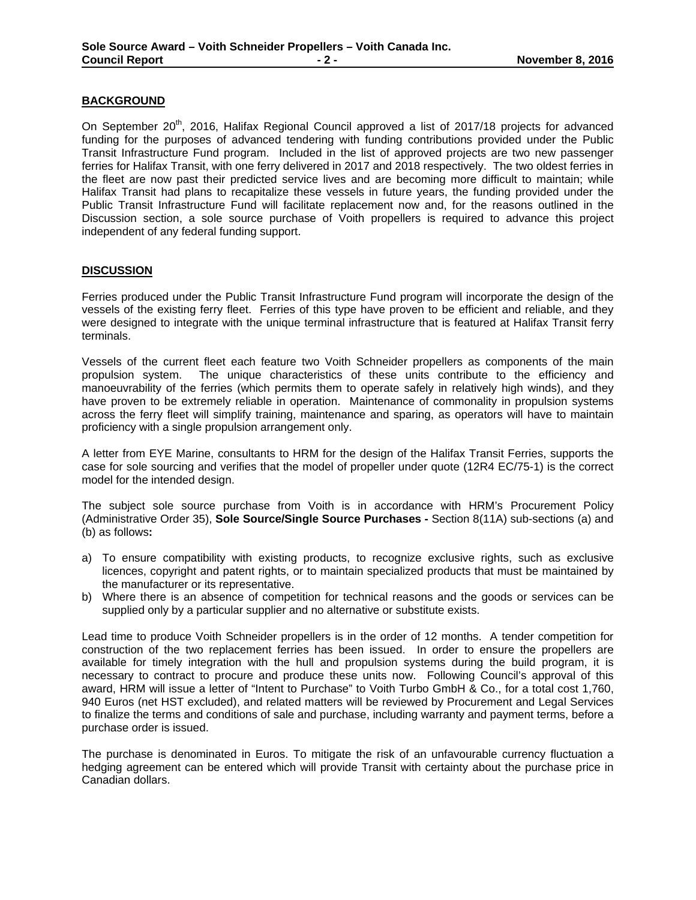## **BACKGROUND**

On September 20<sup>th</sup>, 2016, Halifax Regional Council approved a list of 2017/18 projects for advanced funding for the purposes of advanced tendering with funding contributions provided under the Public Transit Infrastructure Fund program. Included in the list of approved projects are two new passenger ferries for Halifax Transit, with one ferry delivered in 2017 and 2018 respectively. The two oldest ferries in the fleet are now past their predicted service lives and are becoming more difficult to maintain; while Halifax Transit had plans to recapitalize these vessels in future years, the funding provided under the Public Transit Infrastructure Fund will facilitate replacement now and, for the reasons outlined in the Discussion section, a sole source purchase of Voith propellers is required to advance this project independent of any federal funding support.

## **DISCUSSION**

Ferries produced under the Public Transit Infrastructure Fund program will incorporate the design of the vessels of the existing ferry fleet. Ferries of this type have proven to be efficient and reliable, and they were designed to integrate with the unique terminal infrastructure that is featured at Halifax Transit ferry terminals.

Vessels of the current fleet each feature two Voith Schneider propellers as components of the main propulsion system. The unique characteristics of these units contribute to the efficiency and manoeuvrability of the ferries (which permits them to operate safely in relatively high winds), and they have proven to be extremely reliable in operation. Maintenance of commonality in propulsion systems across the ferry fleet will simplify training, maintenance and sparing, as operators will have to maintain proficiency with a single propulsion arrangement only.

A letter from EYE Marine, consultants to HRM for the design of the Halifax Transit Ferries, supports the case for sole sourcing and verifies that the model of propeller under quote (12R4 EC/75-1) is the correct model for the intended design.

The subject sole source purchase from Voith is in accordance with HRM's Procurement Policy (Administrative Order 35), **Sole Source/Single Source Purchases -** Section 8(11A) sub-sections (a) and (b) as follows**:**

- a) To ensure compatibility with existing products, to recognize exclusive rights, such as exclusive licences, copyright and patent rights, or to maintain specialized products that must be maintained by the manufacturer or its representative.
- b) Where there is an absence of competition for technical reasons and the goods or services can be supplied only by a particular supplier and no alternative or substitute exists.

Lead time to produce Voith Schneider propellers is in the order of 12 months. A tender competition for construction of the two replacement ferries has been issued. In order to ensure the propellers are available for timely integration with the hull and propulsion systems during the build program, it is necessary to contract to procure and produce these units now. Following Council's approval of this award, HRM will issue a letter of "Intent to Purchase" to Voith Turbo GmbH & Co., for a total cost 1,760, 940 Euros (net HST excluded), and related matters will be reviewed by Procurement and Legal Services to finalize the terms and conditions of sale and purchase, including warranty and payment terms, before a purchase order is issued.

The purchase is denominated in Euros. To mitigate the risk of an unfavourable currency fluctuation a hedging agreement can be entered which will provide Transit with certainty about the purchase price in Canadian dollars.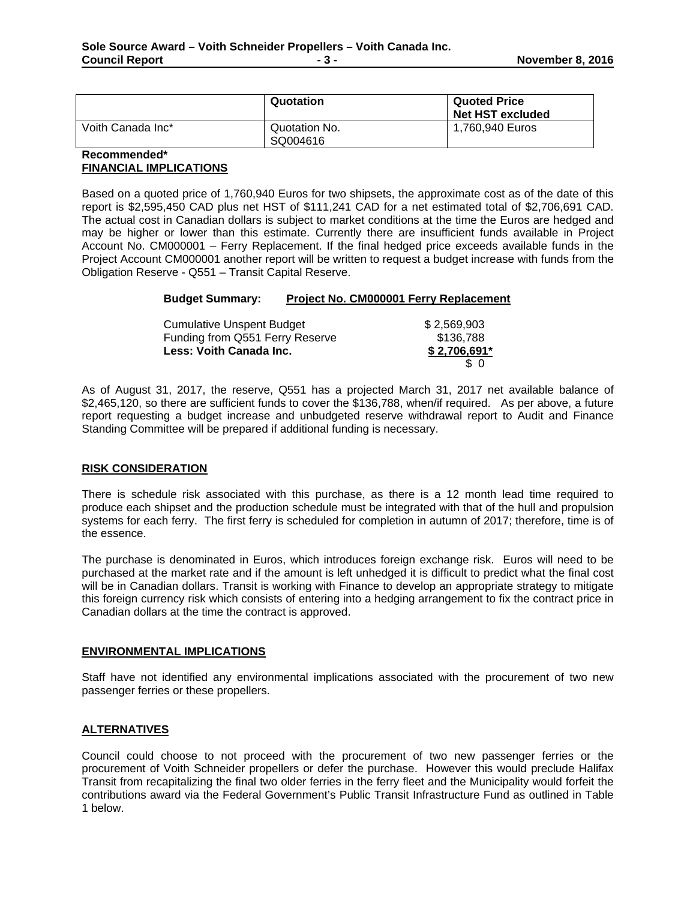|                   | Quotation                 | <b>Quoted Price</b><br>Net HST excluded |
|-------------------|---------------------------|-----------------------------------------|
| Voith Canada Inc* | Quotation No.<br>SQ004616 | 1,760,940 Euros                         |

## **Recommended\* FINANCIAL IMPLICATIONS**

Based on a quoted price of 1,760,940 Euros for two shipsets, the approximate cost as of the date of this report is \$2,595,450 CAD plus net HST of \$111,241 CAD for a net estimated total of \$2,706,691 CAD. The actual cost in Canadian dollars is subject to market conditions at the time the Euros are hedged and may be higher or lower than this estimate. Currently there are insufficient funds available in Project Account No. CM000001 – Ferry Replacement. If the final hedged price exceeds available funds in the Project Account CM000001 another report will be written to request a budget increase with funds from the Obligation Reserve - Q551 – Transit Capital Reserve.

| <b>Budget Summary:</b> | Project No. CM000001 Ferry Replacement |
|------------------------|----------------------------------------|
|                        |                                        |

| <b>Cumulative Unspent Budget</b> | \$2,569,903   |
|----------------------------------|---------------|
| Funding from Q551 Ferry Reserve  | \$136,788     |
| Less: Voith Canada Inc.          | $$2,706,691*$ |
|                                  | \$ 0          |

As of August 31, 2017, the reserve, Q551 has a projected March 31, 2017 net available balance of \$2,465,120, so there are sufficient funds to cover the \$136,788, when/if required. As per above, a future report requesting a budget increase and unbudgeted reserve withdrawal report to Audit and Finance Standing Committee will be prepared if additional funding is necessary.

# **RISK CONSIDERATION**

There is schedule risk associated with this purchase, as there is a 12 month lead time required to produce each shipset and the production schedule must be integrated with that of the hull and propulsion systems for each ferry. The first ferry is scheduled for completion in autumn of 2017; therefore, time is of the essence.

The purchase is denominated in Euros, which introduces foreign exchange risk. Euros will need to be purchased at the market rate and if the amount is left unhedged it is difficult to predict what the final cost will be in Canadian dollars. Transit is working with Finance to develop an appropriate strategy to mitigate this foreign currency risk which consists of entering into a hedging arrangement to fix the contract price in Canadian dollars at the time the contract is approved.

## **ENVIRONMENTAL IMPLICATIONS**

Staff have not identified any environmental implications associated with the procurement of two new passenger ferries or these propellers.

# **ALTERNATIVES**

Council could choose to not proceed with the procurement of two new passenger ferries or the procurement of Voith Schneider propellers or defer the purchase. However this would preclude Halifax Transit from recapitalizing the final two older ferries in the ferry fleet and the Municipality would forfeit the contributions award via the Federal Government's Public Transit Infrastructure Fund as outlined in Table 1 below.